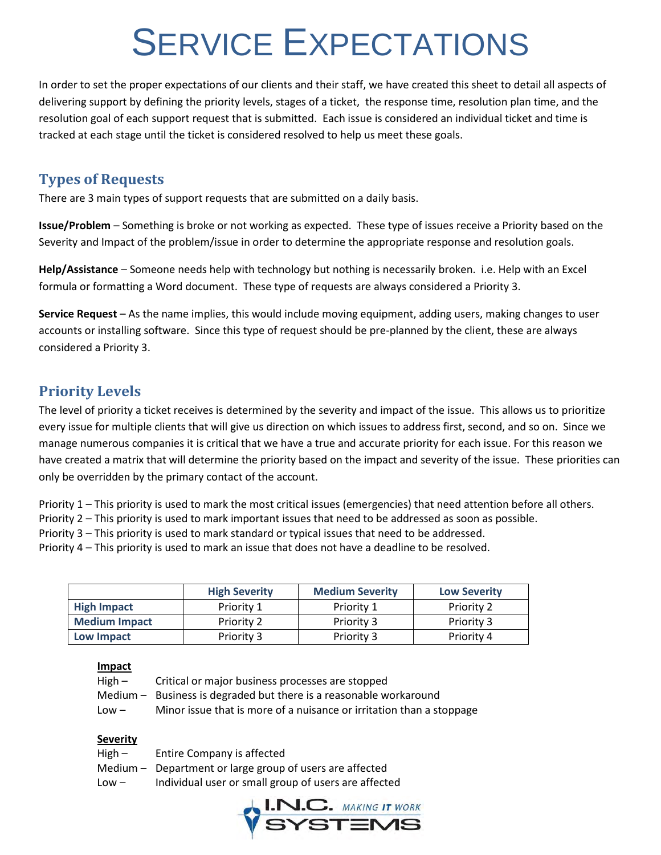# SERVICE EXPECTATIONS

In order to set the proper expectations of our clients and their staff, we have created this sheet to detail all aspects of delivering support by defining the priority levels, stages of a ticket, the response time, resolution plan time, and the resolution goal of each support request that is submitted. Each issue is considered an individual ticket and time is tracked at each stage until the ticket is considered resolved to help us meet these goals.

## **Types of Requests**

There are 3 main types of support requests that are submitted on a daily basis.

**Issue/Problem** – Something is broke or not working as expected. These type of issues receive a Priority based on the Severity and Impact of the problem/issue in order to determine the appropriate response and resolution goals.

**Help/Assistance** – Someone needs help with technology but nothing is necessarily broken. i.e. Help with an Excel formula or formatting a Word document. These type of requests are always considered a Priority 3.

**Service Request** – As the name implies, this would include moving equipment, adding users, making changes to user accounts or installing software. Since this type of request should be pre-planned by the client, these are always considered a Priority 3.

## **Priority Levels**

The level of priority a ticket receives is determined by the severity and impact of the issue. This allows us to prioritize every issue for multiple clients that will give us direction on which issues to address first, second, and so on. Since we manage numerous companies it is critical that we have a true and accurate priority for each issue. For this reason we have created a matrix that will determine the priority based on the impact and severity of the issue. These priorities can only be overridden by the primary contact of the account.

Priority 1 – This priority is used to mark the most critical issues (emergencies) that need attention before all others.

- Priority 2 This priority is used to mark important issues that need to be addressed as soon as possible.
- Priority 3 This priority is used to mark standard or typical issues that need to be addressed.

Priority 4 – This priority is used to mark an issue that does not have a deadline to be resolved.

|                      | <b>High Severity</b> | <b>Medium Severity</b> | <b>Low Severity</b> |
|----------------------|----------------------|------------------------|---------------------|
| <b>High Impact</b>   | Priority 1           | Priority 1             | <b>Priority 2</b>   |
| <b>Medium Impact</b> | Priority 2           | Priority 3             | Priority 3          |
| Low Impact           | Priority 3           | Priority 3             | Priority 4          |

#### **Impact**

| High $-$ | Critical or major business processes are stopped                     |
|----------|----------------------------------------------------------------------|
|          | Medium - Business is degraded but there is a reasonable workaround   |
| $Low -$  | Minor issue that is more of a nuisance or irritation than a stoppage |

#### **Severity**

| High –  | Entire Company is affected                               |
|---------|----------------------------------------------------------|
|         | Medium - Department or large group of users are affected |
| $Low -$ | Individual user or small group of users are affected     |